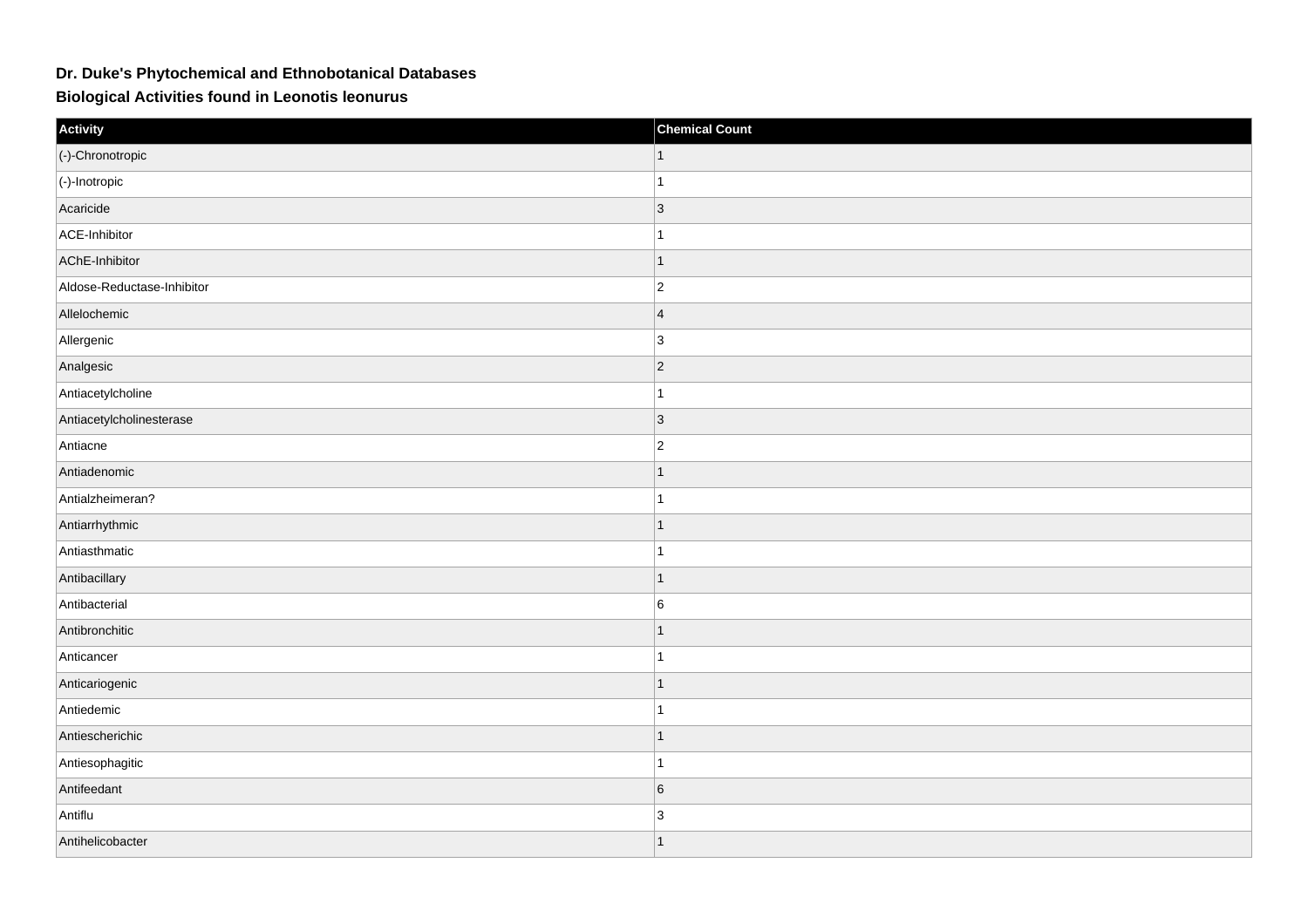## **Dr. Duke's Phytochemical and Ethnobotanical Databases**

**Biological Activities found in Leonotis leonurus**

| Activity                   | <b>Chemical Count</b> |
|----------------------------|-----------------------|
| (-)-Chronotropic           | $\mathbf{1}$          |
| $ $ (-)-Inotropic          | $\mathbf{1}$          |
| Acaricide                  | $ 3\rangle$           |
| ACE-Inhibitor              | $\mathbf{1}$          |
| AChE-Inhibitor             | $\mathbf{1}$          |
| Aldose-Reductase-Inhibitor | $ 2\rangle$           |
| Allelochemic               | 4                     |
| Allergenic                 | $\vert$ 3             |
| Analgesic                  | $ 2\rangle$           |
| Antiacetylcholine          | $\vert$ 1             |
| Antiacetylcholinesterase   | $ 3\rangle$           |
| Antiacne                   | $ 2\rangle$           |
| Antiadenomic               | $\mathbf{1}$          |
| Antialzheimeran?           | $\mathbf{1}$          |
| Antiarrhythmic             | $\mathbf{1}$          |
| Antiasthmatic              | $\vert$ 1             |
| Antibacillary              | $\mathbf{1}$          |
| Antibacterial              | 6                     |
| Antibronchitic             | $\mathbf{1}$          |
| Anticancer                 | $\mathbf{1}$          |
| Anticariogenic             | $\vert$ 1             |
| Antiedemic                 | $\vert$ 1             |
| Antiescherichic            | $\mathbf{1}$          |
| Antiesophagitic            | $\mathbf{1}$          |
| Antifeedant                | $6\overline{6}$       |
| Antiflu                    | 3                     |
| Antihelicobacter           | $\vert$ 1             |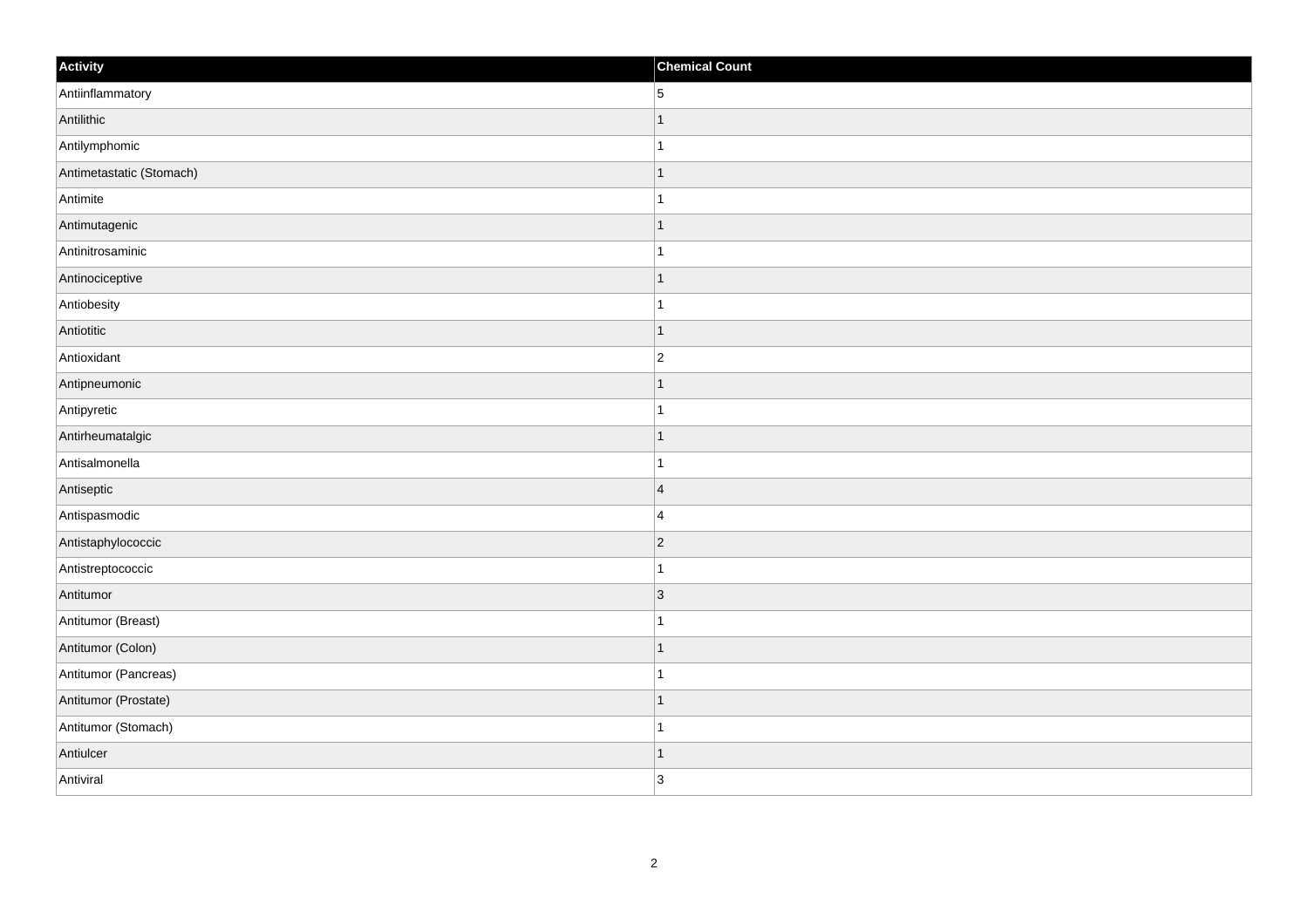| Activity                 | <b>Chemical Count</b> |
|--------------------------|-----------------------|
| Antiinflammatory         | $5\overline{)}$       |
| Antilithic               | $\mathbf 1$           |
| Antilymphomic            | 1                     |
| Antimetastatic (Stomach) | $\mathbf 1$           |
| Antimite                 | $\mathbf{1}$          |
| Antimutagenic            | 1                     |
| Antinitrosaminic         | $\mathbf{1}$          |
| Antinociceptive          | $\mathbf 1$           |
| Antiobesity              |                       |
| Antiotitic               | $\vert$ 1             |
| Antioxidant              | $\overline{c}$        |
| Antipneumonic            |                       |
| Antipyretic              | $\mathbf{1}$          |
| Antirheumatalgic         | 1                     |
| Antisalmonella           | $\mathbf{1}$          |
| Antiseptic               | $\overline{4}$        |
| Antispasmodic            | $\overline{4}$        |
| Antistaphylococcic       | $ 2\rangle$           |
| Antistreptococcic        | $\overline{1}$        |
| Antitumor                | 3                     |
| Antitumor (Breast)       | -1                    |
| Antitumor (Colon)        | 1                     |
| Antitumor (Pancreas)     | $\mathbf{1}$          |
| Antitumor (Prostate)     | $\mathbf 1$           |
| Antitumor (Stomach)      | $\vert$ 1             |
| Antiulcer                | $\overline{1}$        |
| Antiviral                | 3                     |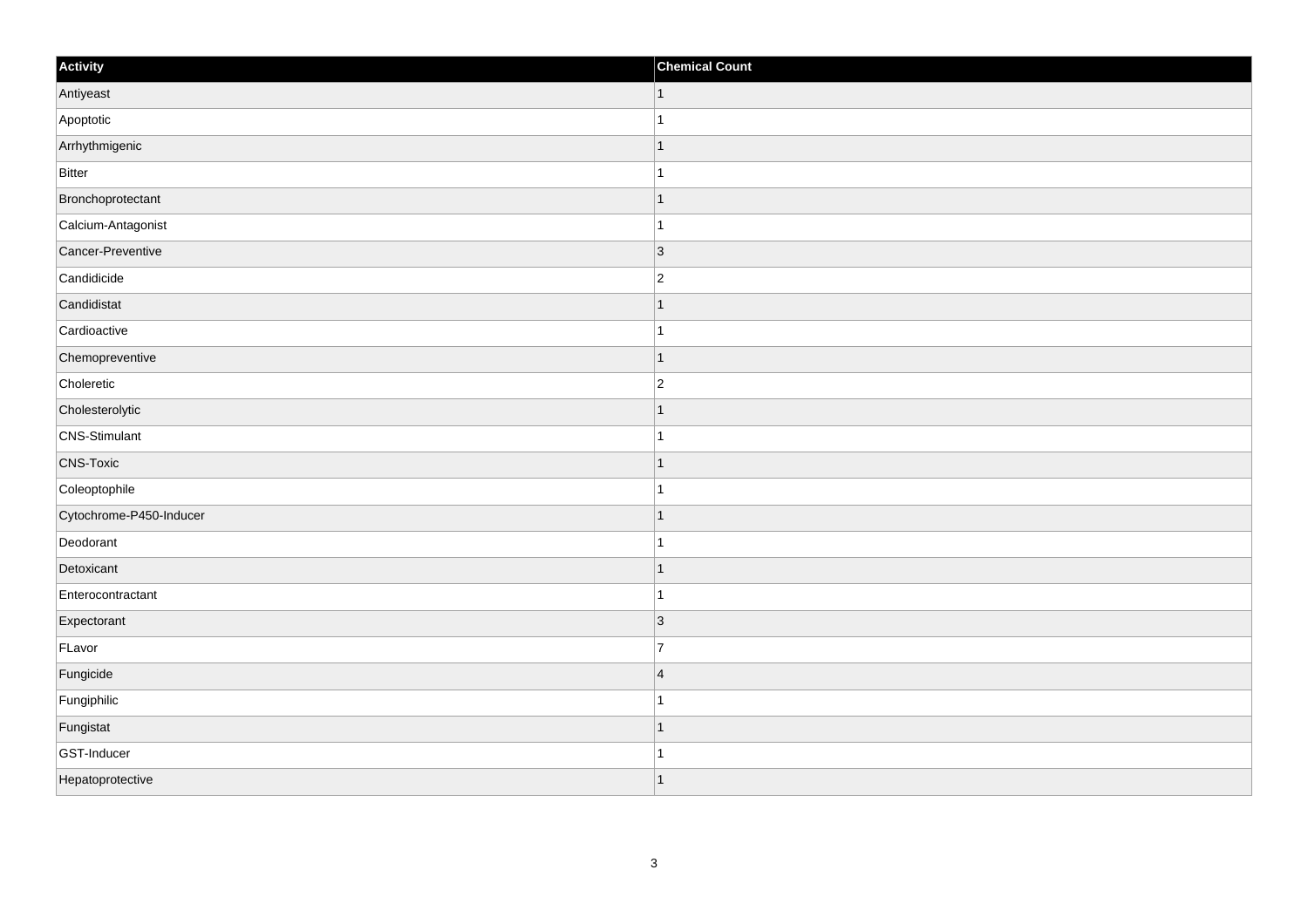| Activity                | <b>Chemical Count</b>    |
|-------------------------|--------------------------|
| Antiyeast               | $\vert$ 1                |
| Apoptotic               |                          |
| Arrhythmigenic          | f.                       |
| Bitter                  |                          |
| Bronchoprotectant       |                          |
| Calcium-Antagonist      |                          |
| Cancer-Preventive       | $ 3\rangle$              |
| Candidicide             | $\overline{2}$           |
| Candidistat             |                          |
| Cardioactive            |                          |
| Chemopreventive         | -1                       |
| Choleretic              | $\overline{2}$           |
| Cholesterolytic         | $\overline{\phantom{a}}$ |
| CNS-Stimulant           | 1                        |
| <b>CNS-Toxic</b>        |                          |
| Coleoptophile           |                          |
| Cytochrome-P450-Inducer |                          |
| Deodorant               |                          |
| Detoxicant              | 1                        |
| Enterocontractant       | 1                        |
| Expectorant             | 3                        |
| FLavor                  | $\overline{7}$           |
| Fungicide               | $\overline{4}$           |
| Fungiphilic             |                          |
| Fungistat               | 1                        |
| GST-Inducer             |                          |
| Hepatoprotective        | $\overline{ }$           |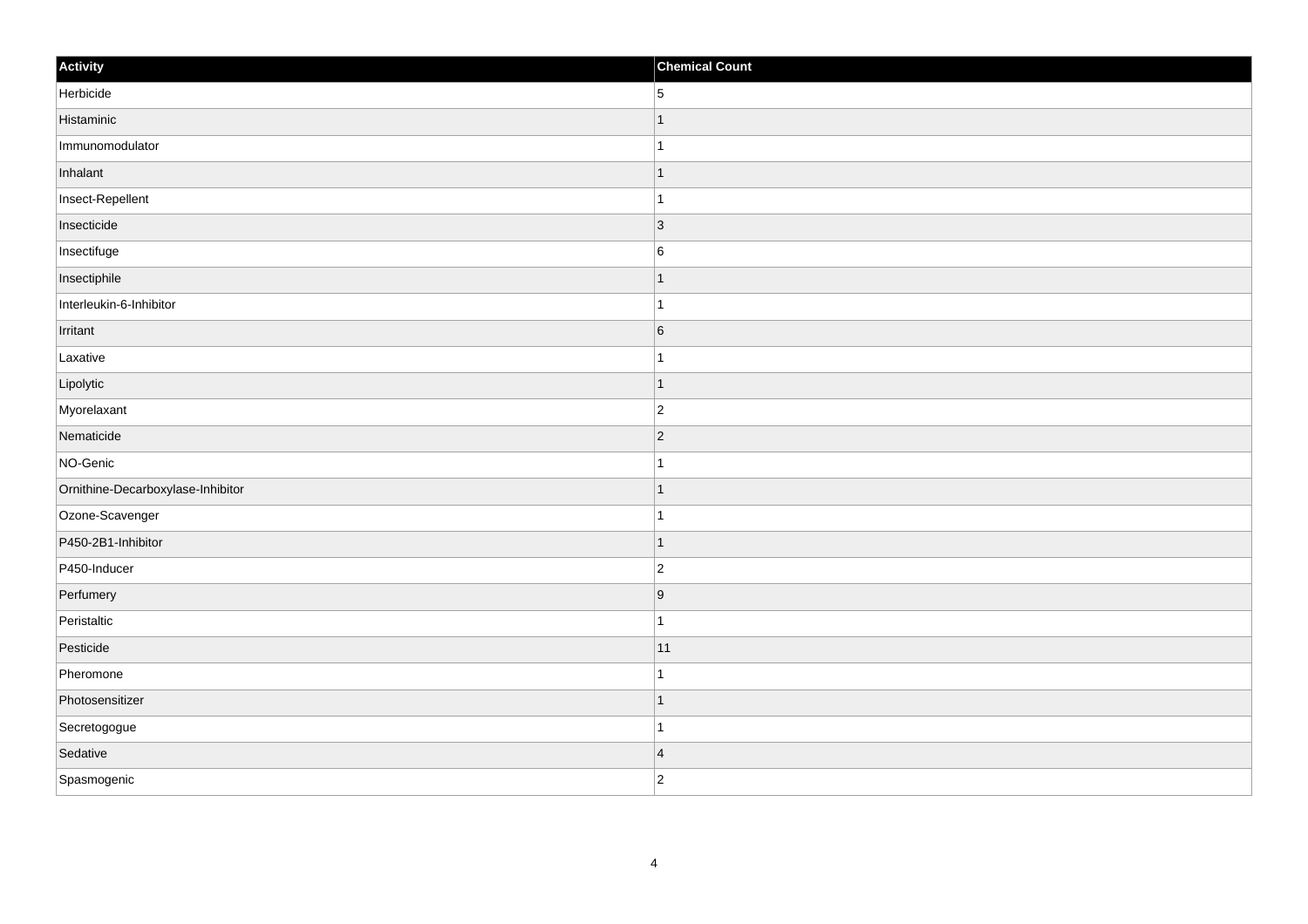| Activity                          | <b>Chemical Count</b>    |
|-----------------------------------|--------------------------|
| Herbicide                         | 5                        |
| Histaminic                        |                          |
| Immunomodulator                   |                          |
| Inhalant                          | 1                        |
| Insect-Repellent                  | 1                        |
| Insecticide                       | 3                        |
| Insectifuge                       | $6\phantom{.}6$          |
| Insectiphile                      |                          |
| Interleukin-6-Inhibitor           |                          |
| Irritant                          | $6\overline{6}$          |
| Laxative                          | 1                        |
| Lipolytic                         |                          |
| Myorelaxant                       | $\overline{c}$           |
| Nematicide                        | $\overline{2}$           |
| NO-Genic                          |                          |
| Ornithine-Decarboxylase-Inhibitor | 1                        |
| Ozone-Scavenger                   | 1                        |
| P450-2B1-Inhibitor                | $\overline{\phantom{a}}$ |
| P450-Inducer                      | $\vert$ 2                |
| Perfumery                         | $\overline{9}$           |
| Peristaltic                       | -1                       |
| Pesticide                         | 11                       |
| Pheromone                         |                          |
| Photosensitizer                   | $\overline{\phantom{a}}$ |
| Secretogogue                      | 1                        |
| Sedative                          | $\overline{4}$           |
| Spasmogenic                       | $\overline{2}$           |